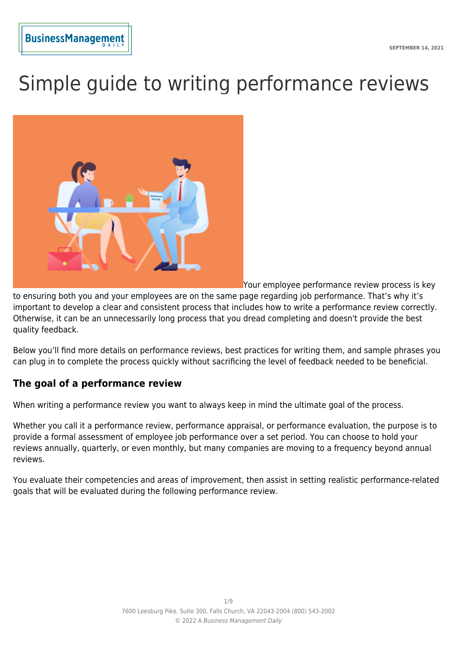# Simple guide to writing performance reviews



Your employee performance review process is key

to ensuring both you and your employees are on the same page regarding job performance. That's why it's important to develop a clear and consistent process that includes how to write a performance review correctly. Otherwise, it can be an unnecessarily long process that you dread completing and doesn't provide the best quality feedback.

Below you'll find more details on performance reviews, best practices for writing them, and sample phrases you can plug in to complete the process quickly without sacrificing the level of feedback needed to be beneficial.

# **The goal of a performance review**

When writing a performance review you want to always keep in mind the ultimate goal of the process.

Whether you call it a performance review, performance appraisal, or performance evaluation, the purpose is to provide a formal assessment of employee job performance over a set period. You can choose to hold your reviews annually, quarterly, or even monthly, but many companies are moving to a frequency beyond annual reviews.

You evaluate their competencies and areas of improvement, then assist in setting realistic performance-related goals that will be evaluated during the following performance review.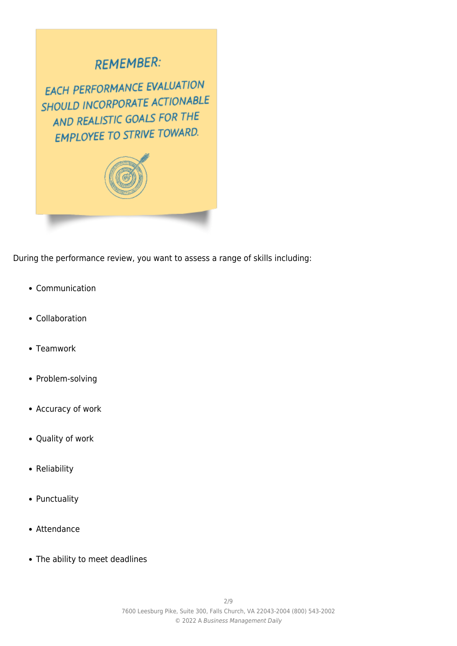# **REMEMBER:**

EACH PERFORMANCE EVALUATION SHOULD INCORPORATE ACTIONABLE AND REALISTIC GOALS FOR THE **EMPLOYEE TO STRIVE TOWARD.** 



During the performance review, you want to assess a range of skills including:

- Communication
- Collaboration
- Teamwork
- Problem-solving
- Accuracy of work
- Quality of work
- Reliability
- Punctuality
- Attendance
- The ability to meet deadlines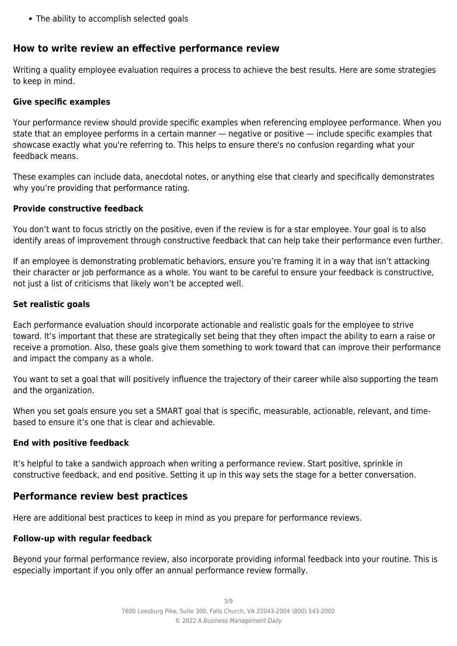The ability to accomplish selected goals

# **How to write review an effective performance review**

Writing a quality employee evaluation requires a process to achieve the best results. Here are some strategies to keep in mind.

# **Give specific examples**

Your performance review should provide specific examples when referencing employee performance. When you state that an employee performs in a certain manner — negative or positive — include specific examples that showcase exactly what you're referring to. This helps to ensure there's no confusion regarding what your feedback means.

These examples can include data, anecdotal notes, or anything else that clearly and specifically demonstrates why you're providing that performance rating.

# **Provide constructive feedback**

You don't want to focus strictly on the positive, even if the review is for a star employee. Your goal is to also identify areas of improvement through constructive feedback that can help take their performance even further.

If an employee is demonstrating problematic behaviors, ensure you're framing it in a way that isn't attacking their character or job performance as a whole. You want to be careful to ensure your feedback is constructive, not just a list of criticisms that likely won't be accepted well.

#### **Set realistic goals**

Each performance evaluation should incorporate actionable and realistic goals for the employee to strive toward. It's important that these are strategically set being that they often impact the ability to earn a raise or receive a promotion. Also, these goals give them something to work toward that can improve their performance and impact the company as a whole.

You want to set a goal that will positively influence the trajectory of their career while also supporting the team and the organization.

When you set goals ensure you set a SMART goal that is specific, measurable, actionable, relevant, and timebased to ensure it's one that is clear and achievable.

#### **End with positive feedback**

It's helpful to take a sandwich approach when writing a performance review. Start positive, sprinkle in constructive feedback, and end positive. Setting it up in this way sets the stage for a better conversation.

# **Performance review best practices**

Here are additional best practices to keep in mind as you prepare for performance reviews.

#### **Follow-up with regular feedback**

Beyond your formal performance review, also incorporate providing informal feedback into your routine. This is especially important if you only offer an annual performance review formally.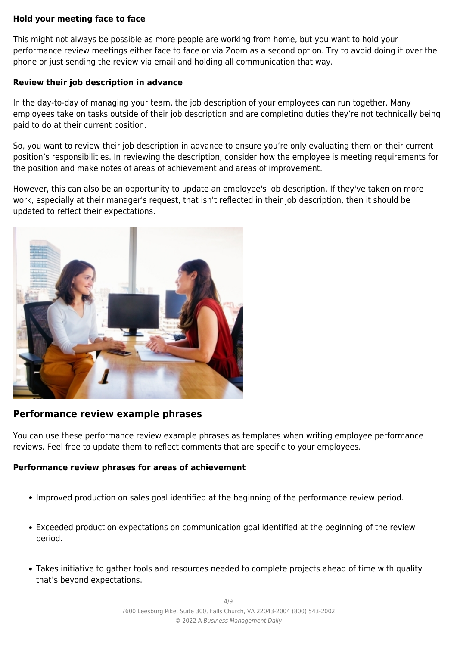#### **Hold your meeting face to face**

This might not always be possible as more people are working from home, but you want to hold your performance review meetings either face to face or via Zoom as a second option. Try to avoid doing it over the phone or just sending the review via email and holding all communication that way.

#### **Review their job description in advance**

In the day-to-day of managing your team, the job description of your employees can run together. Many employees take on tasks outside of their job description and are completing duties they're not technically being paid to do at their current position.

So, you want to review their job description in advance to ensure you're only evaluating them on their current position's responsibilities. In reviewing the description, consider how the employee is meeting requirements for the position and make notes of areas of achievement and areas of improvement.

However, this can also be an opportunity to update an employee's job description. If they've taken on more work, especially at their manager's request, that isn't reflected in their job description, then it should be updated to reflect their expectations.



# **Performance review example phrases**

You can use these performance review example phrases as templates when writing employee performance reviews. Feel free to update them to reflect comments that are specific to your employees.

#### **Performance review phrases for areas of achievement**

- Improved production on sales goal identified at the beginning of the performance review period.
- Exceeded production expectations on communication goal identified at the beginning of the review period.
- Takes initiative to gather tools and resources needed to complete projects ahead of time with quality that's beyond expectations.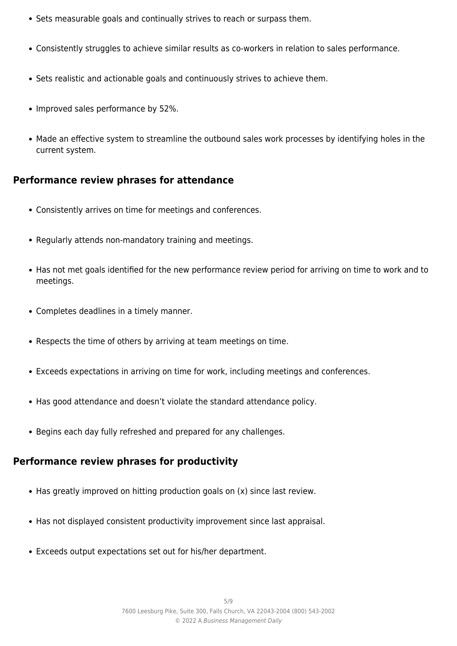- Sets measurable goals and continually strives to reach or surpass them.
- Consistently struggles to achieve similar results as co-workers in relation to sales performance.
- Sets realistic and actionable goals and continuously strives to achieve them.
- Improved sales performance by 52%.
- Made an effective system to streamline the outbound sales work processes by identifying holes in the current system.

# **Performance review phrases for attendance**

- Consistently arrives on time for meetings and conferences.
- Regularly attends non-mandatory training and meetings.
- Has not met goals identified for the new performance review period for arriving on time to work and to meetings.
- Completes deadlines in a timely manner.
- Respects the time of others by arriving at team meetings on time.
- Exceeds expectations in arriving on time for work, including meetings and conferences.
- Has good attendance and doesn't violate the standard attendance policy.
- Begins each day fully refreshed and prepared for any challenges.

# **Performance review phrases for productivity**

- Has greatly improved on hitting production goals on (x) since last review.
- Has not displayed consistent productivity improvement since last appraisal.
- Exceeds output expectations set out for his/her department.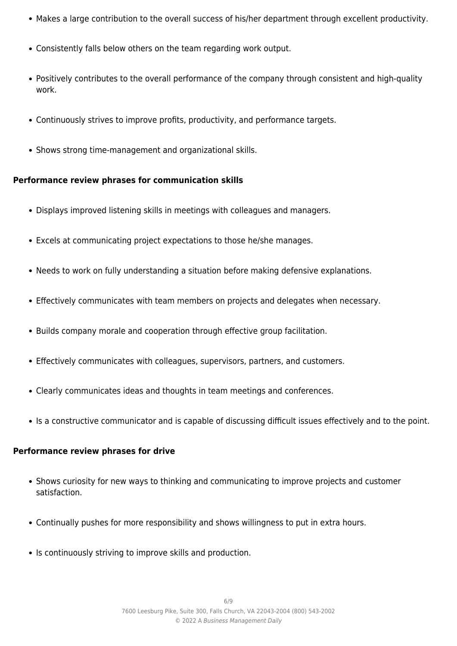- Makes a large contribution to the overall success of his/her department through excellent productivity.
- Consistently falls below others on the team regarding work output.
- Positively contributes to the overall performance of the company through consistent and high-quality work.
- Continuously strives to improve profits, productivity, and performance targets.
- Shows strong time-management and organizational skills.

#### **Performance review phrases for communication skills**

- Displays improved listening skills in meetings with colleagues and managers.
- Excels at communicating project expectations to those he/she manages.
- Needs to work on fully understanding a situation before making defensive explanations.
- Effectively communicates with team members on projects and delegates when necessary.
- Builds company morale and cooperation through effective group facilitation.
- Effectively communicates with colleagues, supervisors, partners, and customers.
- Clearly communicates ideas and thoughts in team meetings and conferences.
- Is a constructive communicator and is capable of discussing difficult issues effectively and to the point.

#### **Performance review phrases for drive**

- Shows curiosity for new ways to thinking and communicating to improve projects and customer satisfaction.
- Continually pushes for more responsibility and shows willingness to put in extra hours.
- Is continuously striving to improve skills and production.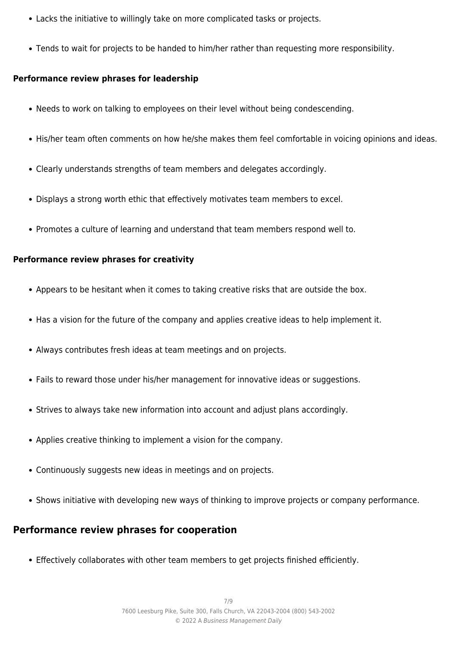- Lacks the initiative to willingly take on more complicated tasks or projects.
- Tends to wait for projects to be handed to him/her rather than requesting more responsibility.

#### **Performance review phrases for leadership**

- Needs to work on talking to employees on their level without being condescending.
- His/her team often comments on how he/she makes them feel comfortable in voicing opinions and ideas.
- Clearly understands strengths of team members and delegates accordingly.
- Displays a strong worth ethic that effectively motivates team members to excel.
- Promotes a culture of learning and understand that team members respond well to.

#### **Performance review phrases for creativity**

- Appears to be hesitant when it comes to taking creative risks that are outside the box.
- Has a vision for the future of the company and applies creative ideas to help implement it.
- Always contributes fresh ideas at team meetings and on projects.
- Fails to reward those under his/her management for innovative ideas or suggestions.
- Strives to always take new information into account and adjust plans accordingly.
- Applies creative thinking to implement a vision for the company.
- Continuously suggests new ideas in meetings and on projects.
- Shows initiative with developing new ways of thinking to improve projects or company performance.

# **Performance review phrases for cooperation**

Effectively collaborates with other team members to get projects finished efficiently.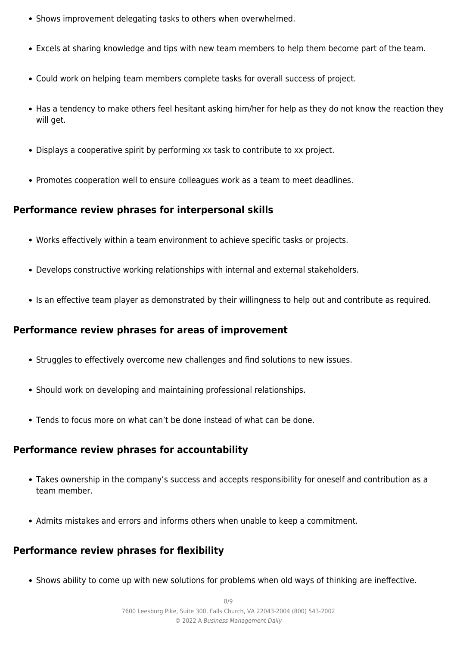- Shows improvement delegating tasks to others when overwhelmed.
- Excels at sharing knowledge and tips with new team members to help them become part of the team.
- Could work on helping team members complete tasks for overall success of project.
- Has a tendency to make others feel hesitant asking him/her for help as they do not know the reaction they will get.
- Displays a cooperative spirit by performing xx task to contribute to xx project.
- Promotes cooperation well to ensure colleagues work as a team to meet deadlines.

# **Performance review phrases for interpersonal skills**

- Works effectively within a team environment to achieve specific tasks or projects.
- Develops constructive working relationships with internal and external stakeholders.
- Is an effective team player as demonstrated by their willingness to help out and contribute as required.

# **Performance review phrases for areas of improvement**

- Struggles to effectively overcome new challenges and find solutions to new issues.
- Should work on developing and maintaining professional relationships.
- Tends to focus more on what can't be done instead of what can be done.

# **Performance review phrases for accountability**

- Takes ownership in the company's success and accepts responsibility for oneself and contribution as a team member.
- Admits mistakes and errors and informs others when unable to keep a commitment.

# **Performance review phrases for flexibility**

Shows ability to come up with new solutions for problems when old ways of thinking are ineffective.